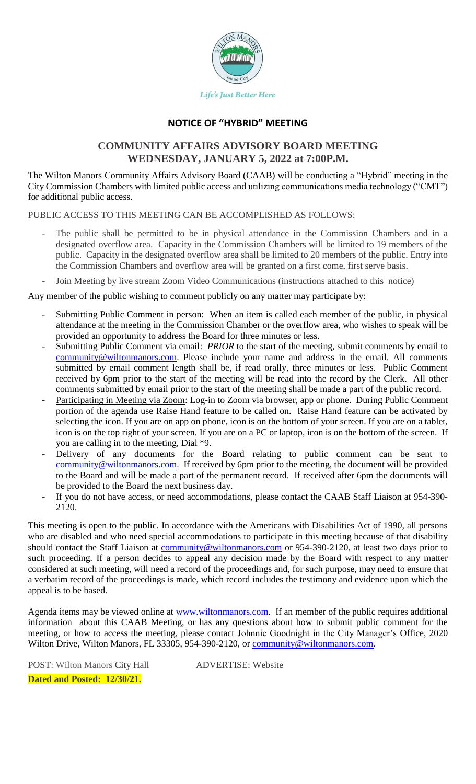

## **NOTICE OF "HYBRID" MEETING**

# **COMMUNITY AFFAIRS ADVISORY BOARD MEETING WEDNESDAY, JANUARY 5, 2022 at 7:00P.M.**

The Wilton Manors Community Affairs Advisory Board (CAAB) will be conducting a "Hybrid" meeting in the City Commission Chambers with limited public access and utilizing communications media technology ("CMT") for additional public access.

PUBLIC ACCESS TO THIS MEETING CAN BE ACCOMPLISHED AS FOLLOWS:

- The public shall be permitted to be in physical attendance in the Commission Chambers and in a designated overflow area. Capacity in the Commission Chambers will be limited to 19 members of the public. Capacity in the designated overflow area shall be limited to 20 members of the public. Entry into the Commission Chambers and overflow area will be granted on a first come, first serve basis.
- Join Meeting by live stream Zoom Video Communications (instructions attached to this notice)

Any member of the public wishing to comment publicly on any matter may participate by:

- Submitting Public Comment in person: When an item is called each member of the public, in physical attendance at the meeting in the Commission Chamber or the overflow area, who wishes to speak will be provided an opportunity to address the Board for three minutes or less.
- Submitting Public Comment via email: *PRIOR* to the start of the meeting, submit comments by email to [community@wiltonmanors.com.](mailto:community@wiltonmanors.com) Please include your name and address in the email. All comments submitted by email comment length shall be, if read orally, three minutes or less. Public Comment received by 6pm prior to the start of the meeting will be read into the record by the Clerk. All other comments submitted by email prior to the start of the meeting shall be made a part of the public record.
- Participating in Meeting via Zoom: Log-in to Zoom via browser, app or phone. During Public Comment portion of the agenda use Raise Hand feature to be called on. Raise Hand feature can be activated by selecting the icon. If you are on app on phone, icon is on the bottom of your screen. If you are on a tablet, icon is on the top right of your screen. If you are on a PC or laptop, icon is on the bottom of the screen. If you are calling in to the meeting, Dial \*9.
- Delivery of any documents for the Board relating to public comment can be sent to [community@wiltonmanors.com.](mailto:community@wiltonmanors.com) If received by 6pm prior to the meeting, the document will be provided to the Board and will be made a part of the permanent record. If received after 6pm the documents will be provided to the Board the next business day.
- If you do not have access, or need accommodations, please contact the CAAB Staff Liaison at 954-390-2120.

This meeting is open to the public. In accordance with the Americans with Disabilities Act of 1990, all persons who are disabled and who need special accommodations to participate in this meeting because of that disability should contact the Staff Liaison at [community@wiltonmanors.com](mailto:community@wiltonmanors.com) or 954-390-2120, at least two days prior to such proceeding. If a person decides to appeal any decision made by the Board with respect to any matter considered at such meeting, will need a record of the proceedings and, for such purpose, may need to ensure that a verbatim record of the proceedings is made, which record includes the testimony and evidence upon which the appeal is to be based.

Agenda items may be viewed online at [www.wiltonmanors.com.](http://www.wiltonmanors.com/) If an member of the public requires additional information about this CAAB Meeting, or has any questions about how to submit public comment for the meeting, or how to access the meeting, please contact Johnnie Goodnight in the City Manager's Office, 2020 Wilton Drive, Wilton Manors, FL 33305, 954-390-2120, or [community@wiltonmanors.com.](mailto:community@wiltonmanors.com)

POST: Wilton Manors City Hall ADVERTISE: Website **Dated and Posted: 12/30/21.**